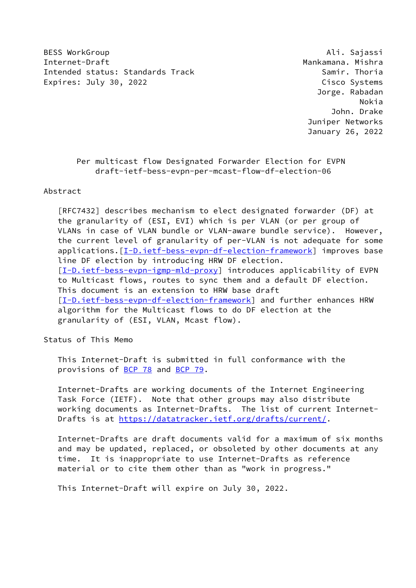BESS WorkGroup **Ali. Sajassi** Internet-Draft Mankamana. Mishra Intended status: Standards Track Samir. Thoria Expires: July 30, 2022 **Cisco Systems** 

 Jorge. Rabadan Nokia John. Drake Juniper Networks January 26, 2022

## Per multicast flow Designated Forwarder Election for EVPN draft-ietf-bess-evpn-per-mcast-flow-df-election-06

Abstract

 [RFC7432] describes mechanism to elect designated forwarder (DF) at the granularity of (ESI, EVI) which is per VLAN (or per group of VLANs in case of VLAN bundle or VLAN-aware bundle service). However, the current level of granularity of per-VLAN is not adequate for some applications. [\[I-D.ietf-bess-evpn-df-election-framework](#page-3-0)] improves base line DF election by introducing HRW DF election. [\[I-D.ietf-bess-evpn-igmp-mld-proxy](#page-11-0)] introduces applicability of EVPN to Multicast flows, routes to sync them and a default DF election. This document is an extension to HRW base draft [\[I-D.ietf-bess-evpn-df-election-framework](#page-3-0)] and further enhances HRW algorithm for the Multicast flows to do DF election at the granularity of (ESI, VLAN, Mcast flow).

Status of This Memo

 This Internet-Draft is submitted in full conformance with the provisions of [BCP 78](https://datatracker.ietf.org/doc/pdf/bcp78) and [BCP 79](https://datatracker.ietf.org/doc/pdf/bcp79).

 Internet-Drafts are working documents of the Internet Engineering Task Force (IETF). Note that other groups may also distribute working documents as Internet-Drafts. The list of current Internet- Drafts is at<https://datatracker.ietf.org/drafts/current/>.

 Internet-Drafts are draft documents valid for a maximum of six months and may be updated, replaced, or obsoleted by other documents at any time. It is inappropriate to use Internet-Drafts as reference material or to cite them other than as "work in progress."

This Internet-Draft will expire on July 30, 2022.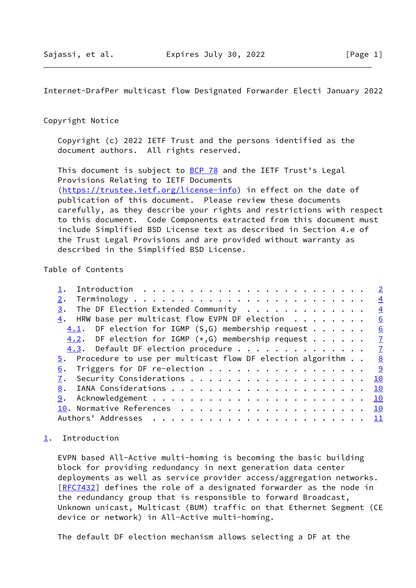<span id="page-1-1"></span>Internet-DrafPer multicast flow Designated Forwarder Electi January 2022

## Copyright Notice

 Copyright (c) 2022 IETF Trust and the persons identified as the document authors. All rights reserved.

This document is subject to **[BCP 78](https://datatracker.ietf.org/doc/pdf/bcp78)** and the IETF Trust's Legal Provisions Relating to IETF Documents [\(https://trustee.ietf.org/license-info](https://trustee.ietf.org/license-info)) in effect on the date of publication of this document. Please review these documents carefully, as they describe your rights and restrictions with respect to this document. Code Components extracted from this document must include Simplified BSD License text as described in Section 4.e of the Trust Legal Provisions and are provided without warranty as described in the Simplified BSD License.

## Table of Contents

| 2.                                                                           |  | $\overline{4}$ |
|------------------------------------------------------------------------------|--|----------------|
| $\frac{3}{2}$ . The DF Election Extended Community                           |  | $\frac{4}{1}$  |
| $\underline{4}$ . HRW base per multicast flow EVPN DF election               |  | $\overline{6}$ |
| $4.1$ . DF election for IGMP (S,G) membership request                        |  | 6              |
| 4.2. DF election for IGMP $(*, G)$ membership request $\frac{7}{4}$          |  |                |
| 4.3. Default DF election procedure 7                                         |  |                |
| $\overline{5}$ . Procedure to use per multicast flow DF election algorithm 8 |  |                |
| $\underline{6}$ . Triggers for DF re-election 9                              |  |                |
|                                                                              |  | 10             |
| 8.                                                                           |  | 10             |
|                                                                              |  |                |
|                                                                              |  |                |
|                                                                              |  |                |
|                                                                              |  |                |

## <span id="page-1-0"></span>[1](#page-1-0). Introduction

 EVPN based All-Active multi-homing is becoming the basic building block for providing redundancy in next generation data center deployments as well as service provider access/aggregation networks. [\[RFC7432](https://datatracker.ietf.org/doc/pdf/rfc7432)] defines the role of a designated forwarder as the node in the redundancy group that is responsible to forward Broadcast, Unknown unicast, Multicast (BUM) traffic on that Ethernet Segment (CE device or network) in All-Active multi-homing.

The default DF election mechanism allows selecting a DF at the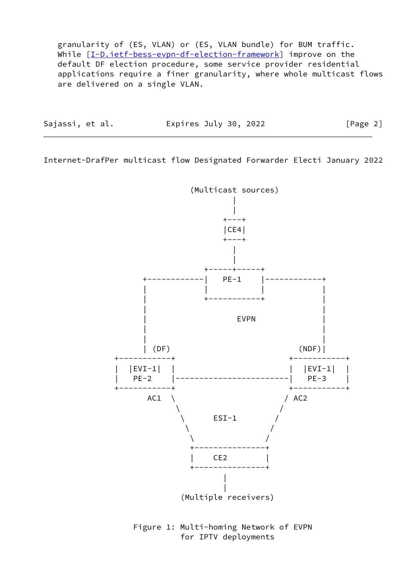granularity of (ES, VLAN) or (ES, VLAN bundle) for BUM traffic. While  $[\underline{I-D.iett-bess-evpn-df-election-framework}]$  improve on the default DF election procedure, some service provider residential applications require a finer granularity, where whole multicast flows are delivered on a single VLAN.

| Sajassi, et al. | Expires July 30, 2022 | [Page 2] |
|-----------------|-----------------------|----------|
|                 |                       |          |

Internet-DrafPer multicast flow Designated Forwarder Electi January 2022



 Figure 1: Multi-homing Network of EVPN for IPTV deployments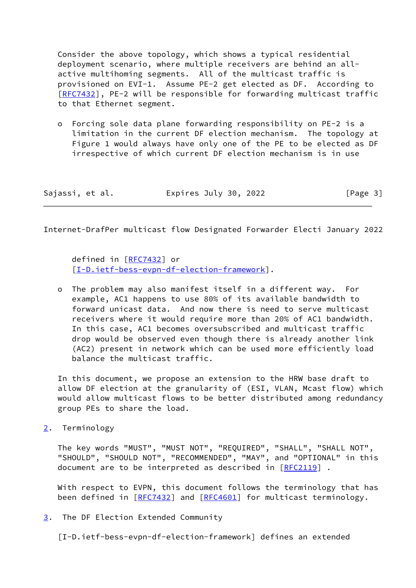Consider the above topology, which shows a typical residential deployment scenario, where multiple receivers are behind an all active multihoming segments. All of the multicast traffic is provisioned on EVI-1. Assume PE-2 get elected as DF. According to [\[RFC7432](https://datatracker.ietf.org/doc/pdf/rfc7432)], PE-2 will be responsible for forwarding multicast traffic to that Ethernet segment.

 o Forcing sole data plane forwarding responsibility on PE-2 is a limitation in the current DF election mechanism. The topology at Figure 1 would always have only one of the PE to be elected as DF irrespective of which current DF election mechanism is in use

| Sajassi, et al. | Expires July 30, 2022 | [Page 3] |
|-----------------|-----------------------|----------|
|-----------------|-----------------------|----------|

<span id="page-3-2"></span>Internet-DrafPer multicast flow Designated Forwarder Electi January 2022

 defined in [[RFC7432](https://datatracker.ietf.org/doc/pdf/rfc7432)] or [[I-D.ietf-bess-evpn-df-election-framework\]](#page-3-0).

 o The problem may also manifest itself in a different way. For example, AC1 happens to use 80% of its available bandwidth to forward unicast data. And now there is need to serve multicast receivers where it would require more than 20% of AC1 bandwidth. In this case, AC1 becomes oversubscribed and multicast traffic drop would be observed even though there is already another link (AC2) present in network which can be used more efficiently load balance the multicast traffic.

 In this document, we propose an extension to the HRW base draft to allow DF election at the granularity of (ESI, VLAN, Mcast flow) which would allow multicast flows to be better distributed among redundancy group PEs to share the load.

<span id="page-3-1"></span>[2](#page-3-1). Terminology

 The key words "MUST", "MUST NOT", "REQUIRED", "SHALL", "SHALL NOT", "SHOULD", "SHOULD NOT", "RECOMMENDED", "MAY", and "OPTIONAL" in this document are to be interpreted as described in [\[RFC2119](https://datatracker.ietf.org/doc/pdf/rfc2119)].

 With respect to EVPN, this document follows the terminology that has been defined in [\[RFC7432](https://datatracker.ietf.org/doc/pdf/rfc7432)] and [[RFC4601](https://datatracker.ietf.org/doc/pdf/rfc4601)] for multicast terminology.

<span id="page-3-3"></span>[3](#page-3-3). The DF Election Extended Community

<span id="page-3-0"></span>[I-D.ietf-bess-evpn-df-election-framework] defines an extended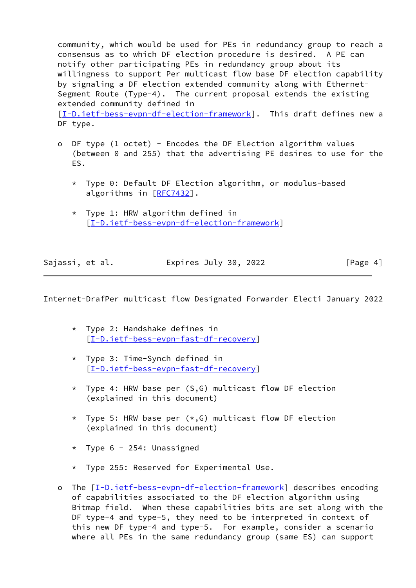community, which would be used for PEs in redundancy group to reach a consensus as to which DF election procedure is desired. A PE can notify other participating PEs in redundancy group about its willingness to support Per multicast flow base DF election capability by signaling a DF election extended community along with Ethernet- Segment Route (Type-4). The current proposal extends the existing extended community defined in

 [\[I-D.ietf-bess-evpn-df-election-framework](#page-3-0)]. This draft defines new a DF type.

- o DF type (1 octet) Encodes the DF Election algorithm values (between 0 and 255) that the advertising PE desires to use for the ES.
	- \* Type 0: Default DF Election algorithm, or modulus-based algorithms in [\[RFC7432](https://datatracker.ietf.org/doc/pdf/rfc7432)].
	- \* Type 1: HRW algorithm defined in [[I-D.ietf-bess-evpn-df-election-framework\]](#page-3-0)

| Sajassi, et al. | Expires July 30, 2022 | [Page 4] |
|-----------------|-----------------------|----------|

Internet-DrafPer multicast flow Designated Forwarder Electi January 2022

- \* Type 2: Handshake defines in [[I-D.ietf-bess-evpn-fast-df-recovery](#page-11-2)]
- \* Type 3: Time-Synch defined in [[I-D.ietf-bess-evpn-fast-df-recovery](#page-11-2)]
- \* Type 4: HRW base per  $(S, G)$  multicast flow DF election (explained in this document)
- \* Type 5: HRW base per  $(*,G)$  multicast flow DF election (explained in this document)
- \* Type 6 254: Unassigned
- \* Type 255: Reserved for Experimental Use.
- o The [\[I-D.ietf-bess-evpn-df-election-framework](#page-3-0)] describes encoding of capabilities associated to the DF election algorithm using Bitmap field. When these capabilities bits are set along with the DF type-4 and type-5, they need to be interpreted in context of this new DF type-4 and type-5. For example, consider a scenario where all PEs in the same redundancy group (same ES) can support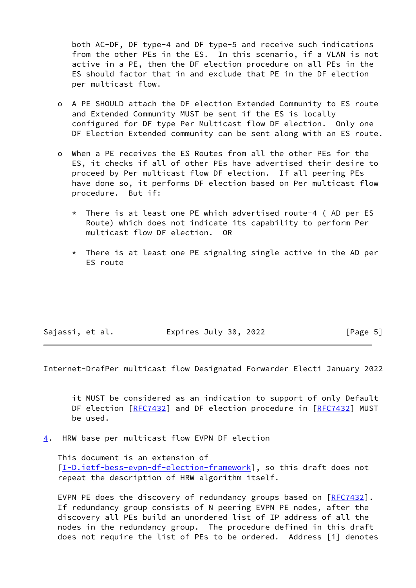both AC-DF, DF type-4 and DF type-5 and receive such indications from the other PEs in the ES. In this scenario, if a VLAN is not active in a PE, then the DF election procedure on all PEs in the ES should factor that in and exclude that PE in the DF election per multicast flow.

- o A PE SHOULD attach the DF election Extended Community to ES route and Extended Community MUST be sent if the ES is locally configured for DF type Per Multicast flow DF election. Only one DF Election Extended community can be sent along with an ES route.
- o When a PE receives the ES Routes from all the other PEs for the ES, it checks if all of other PEs have advertised their desire to proceed by Per multicast flow DF election. If all peering PEs have done so, it performs DF election based on Per multicast flow procedure. But if:
	- There is at least one PE which advertised route-4 (AD per ES Route) which does not indicate its capability to perform Per multicast flow DF election. OR
	- \* There is at least one PE signaling single active in the AD per ES route

| Sajassi, et al. | Expires July 30, 2022 | [Page 5] |  |
|-----------------|-----------------------|----------|--|
|-----------------|-----------------------|----------|--|

<span id="page-5-1"></span>Internet-DrafPer multicast flow Designated Forwarder Electi January 2022

 it MUST be considered as an indication to support of only Default DF election [\[RFC7432](https://datatracker.ietf.org/doc/pdf/rfc7432)] and DF election procedure in [[RFC7432](https://datatracker.ietf.org/doc/pdf/rfc7432)] MUST be used.

<span id="page-5-0"></span>[4](#page-5-0). HRW base per multicast flow EVPN DF election

 This document is an extension of [\[I-D.ietf-bess-evpn-df-election-framework](#page-3-0)], so this draft does not repeat the description of HRW algorithm itself.

EVPN PE does the discovery of redundancy groups based on [\[RFC7432](https://datatracker.ietf.org/doc/pdf/rfc7432)]. If redundancy group consists of N peering EVPN PE nodes, after the discovery all PEs build an unordered list of IP address of all the nodes in the redundancy group. The procedure defined in this draft does not require the list of PEs to be ordered. Address [i] denotes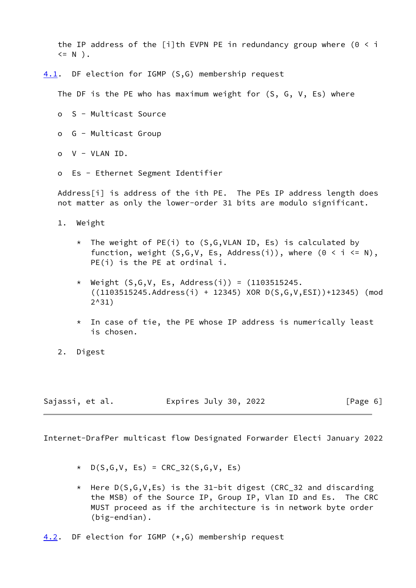the IP address of the [i]th EVPN PE in redundancy group where  $(0 \le i$  $\leq N$ ).

<span id="page-6-0"></span>[4.1](#page-6-0). DF election for IGMP (S,G) membership request

The DF is the PE who has maximum weight for (S, G, V, Es) where

- o S Multicast Source
- o G Multicast Group
- o V VLAN ID.
- o Es Ethernet Segment Identifier

Address[i] is address of the ith PE. The PEs IP address length does not matter as only the lower-order 31 bits are modulo significant.

- 1. Weight
	- \* The weight of PE(i) to (S,G,VLAN ID, Es) is calculated by function, weight  $(S, G, V, Es, Address(i))$ , where  $(0 \le i \le N)$ , PE(i) is the PE at ordinal i.
	- \* Weight (S,G,V, Es, Address(i)) = (1103515245. ((1103515245.Address(i) + 12345) XOR D(S,G,V,ESI))+12345) (mod 2^31)
	- \* In case of tie, the PE whose IP address is numerically least is chosen.
- 2. Digest

| Sajassi, et al. | Expires July 30, 2022 | [Page 6] |
|-----------------|-----------------------|----------|
|-----------------|-----------------------|----------|

<span id="page-6-2"></span>Internet-DrafPer multicast flow Designated Forwarder Electi January 2022

- \* D(S,G,V, Es) = CRC\_32(S,G,V, Es)
- \* Here  $D(S,G,V,Es)$  is the 31-bit digest (CRC 32 and discarding the MSB) of the Source IP, Group IP, Vlan ID and Es. The CRC MUST proceed as if the architecture is in network byte order (big-endian).

<span id="page-6-1"></span> $4.2$ . DF election for IGMP ( $*,$ G) membership request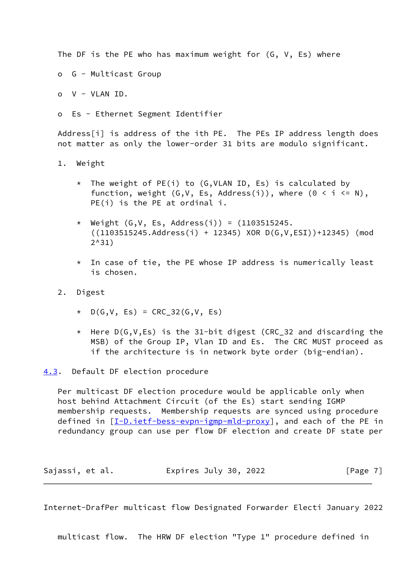The DF is the PE who has maximum weight for (G, V, Es) where

o G - Multicast Group

o V - VLAN ID.

o Es - Ethernet Segment Identifier

Address[i] is address of the ith PE. The PEs IP address length does not matter as only the lower-order 31 bits are modulo significant.

- 1. Weight
	- \* The weight of PE(i) to (G,VLAN ID, Es) is calculated by function, weight  $(G, V, Es, Address(i)),$  where  $(0 < i < N),$ PE(i) is the PE at ordinal i.
	- \* Weight (G,V, Es, Address(i)) = (1103515245. ((1103515245.Address(i) + 12345) XOR D(G,V,ESI))+12345) (mod 2^31)
	- $*$  In case of tie, the PE whose IP address is numerically least is chosen.
- 2. Digest
	- \* D(G,V, Es) = CRC\_32(G,V, Es)
	- \* Here D(G,V,Es) is the 31-bit digest (CRC\_32 and discarding the MSB) of the Group IP, Vlan ID and Es. The CRC MUST proceed as if the architecture is in network byte order (big-endian).
- <span id="page-7-0"></span>[4.3](#page-7-0). Default DF election procedure

 Per multicast DF election procedure would be applicable only when host behind Attachment Circuit (of the Es) start sending IGMP membership requests. Membership requests are synced using procedure defined in [[I-D.ietf-bess-evpn-igmp-mld-proxy\]](#page-11-0), and each of the PE in redundancy group can use per flow DF election and create DF state per

| Sajassi, et al. | Expires July 30, 2022 | [Page 7] |
|-----------------|-----------------------|----------|
|-----------------|-----------------------|----------|

<span id="page-7-1"></span>Internet-DrafPer multicast flow Designated Forwarder Electi January 2022

multicast flow. The HRW DF election "Type 1" procedure defined in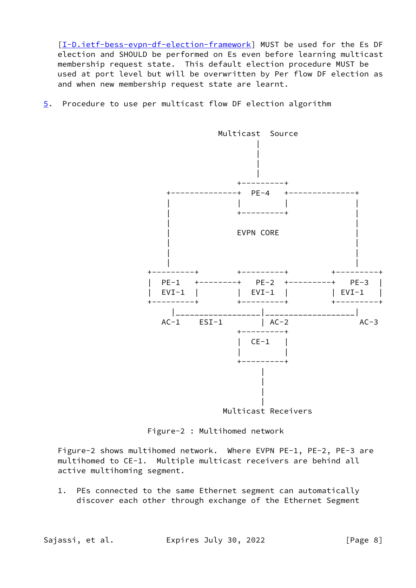[\[I-D.ietf-bess-evpn-df-election-framework](#page-3-0)] MUST be used for the Es DF election and SHOULD be performed on Es even before learning multicast membership request state. This default election procedure MUST be used at port level but will be overwritten by Per flow DF election as and when new membership request state are learnt.

<span id="page-8-0"></span>[5](#page-8-0). Procedure to use per multicast flow DF election algorithm



Figure-2 : Multihomed network

 Figure-2 shows multihomed network. Where EVPN PE-1, PE-2, PE-3 are multihomed to CE-1. Multiple multicast receivers are behind all active multihoming segment.

 1. PEs connected to the same Ethernet segment can automatically discover each other through exchange of the Ethernet Segment

Sajassi, et al. Expires July 30, 2022 [Page 8]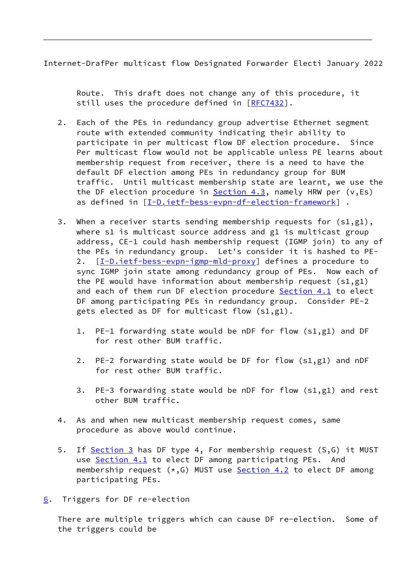<span id="page-9-1"></span>Internet-DrafPer multicast flow Designated Forwarder Electi January 2022

 Route. This draft does not change any of this procedure, it still uses the procedure defined in [\[RFC7432](https://datatracker.ietf.org/doc/pdf/rfc7432)].

- 2. Each of the PEs in redundancy group advertise Ethernet segment route with extended community indicating their ability to participate in per multicast flow DF election procedure. Since Per multicast flow would not be applicable unless PE learns about membership request from receiver, there is a need to have the default DF election among PEs in redundancy group for BUM traffic. Until multicast membership state are learnt, we use the the DF election procedure in  $Section 4.3$ , namely HRW per (v,Es) as defined in [[I-D.ietf-bess-evpn-df-election-framework\]](#page-3-0) .
- 3. When a receiver starts sending membership requests for  $(s1,g1)$ , where s1 is multicast source address and g1 is multicast group address, CE-1 could hash membership request (IGMP join) to any of the PEs in redundancy group. Let's consider it is hashed to PE- 2.  $[I-D.ietf-bess-evpn-igmp-mld-proxy]$  $[I-D.ietf-bess-evpn-igmp-mld-proxy]$  defines a procedure to sync IGMP join state among redundancy group of PEs. Now each of the PE would have information about membership request  $(s1,g1)$  and each of them run DF election procedure [Section 4.1](#page-6-0) to elect DF among participating PEs in redundancy group. Consider PE-2 gets elected as DF for multicast flow (s1,g1).
	- 1. PE-1 forwarding state would be nDF for flow (s1,g1) and DF for rest other BUM traffic.
	- 2. PE-2 forwarding state would be DF for flow (s1,g1) and nDF for rest other BUM traffic.
	- 3. PE-3 forwarding state would be nDF for flow (s1,g1) and rest other BUM traffic.
- 4. As and when new multicast membership request comes, same procedure as above would continue.
- 5. If [Section 3](#page-3-3) has DF type 4, For membership request (S,G) it MUST use [Section 4.1](#page-6-0) to elect DF among participating PEs. And membership request  $(*,G)$  MUST use **Section 4.2** to elect DF among participating PEs.
- <span id="page-9-0"></span>[6](#page-9-0). Triggers for DF re-election

 There are multiple triggers which can cause DF re-election. Some of the triggers could be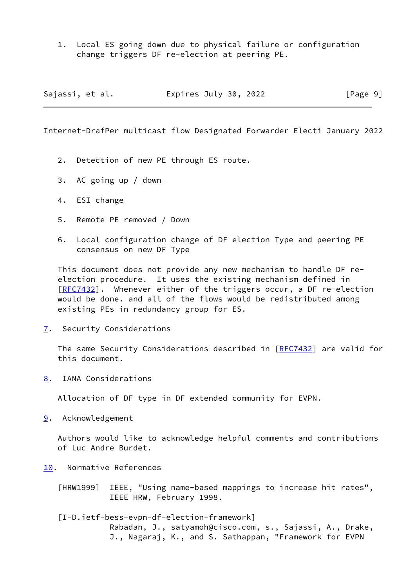1. Local ES going down due to physical failure or configuration change triggers DF re-election at peering PE.

| Sajassi, et al. | Expires July 30, 2022 | [Page 9] |
|-----------------|-----------------------|----------|
|-----------------|-----------------------|----------|

<span id="page-10-1"></span>Internet-DrafPer multicast flow Designated Forwarder Electi January 2022

- 2. Detection of new PE through ES route.
- 3. AC going up / down
- 4. ESI change
- 5. Remote PE removed / Down
- 6. Local configuration change of DF election Type and peering PE consensus on new DF Type

 This document does not provide any new mechanism to handle DF re election procedure. It uses the existing mechanism defined in [\[RFC7432](https://datatracker.ietf.org/doc/pdf/rfc7432)]. Whenever either of the triggers occur, a DF re-election would be done. and all of the flows would be redistributed among existing PEs in redundancy group for ES.

<span id="page-10-0"></span>[7](#page-10-0). Security Considerations

The same Security Considerations described in [[RFC7432](https://datatracker.ietf.org/doc/pdf/rfc7432)] are valid for this document.

<span id="page-10-2"></span>[8](#page-10-2). IANA Considerations

Allocation of DF type in DF extended community for EVPN.

<span id="page-10-3"></span>[9](#page-10-3). Acknowledgement

 Authors would like to acknowledge helpful comments and contributions of Luc Andre Burdet.

<span id="page-10-4"></span>[10.](#page-10-4) Normative References

 [HRW1999] IEEE, "Using name-based mappings to increase hit rates", IEEE HRW, February 1998.

 [I-D.ietf-bess-evpn-df-election-framework] Rabadan, J., satyamoh@cisco.com, s., Sajassi, A., Drake, J., Nagaraj, K., and S. Sathappan, "Framework for EVPN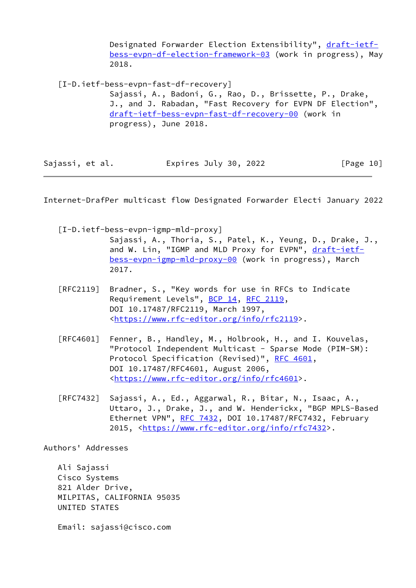Designated Forwarder Election Extensibility", [draft-ietf](https://datatracker.ietf.org/doc/pdf/draft-ietf-bess-evpn-df-election-framework-03) [bess-evpn-df-election-framework-03](https://datatracker.ietf.org/doc/pdf/draft-ietf-bess-evpn-df-election-framework-03) (work in progress), May 2018.

<span id="page-11-2"></span> [I-D.ietf-bess-evpn-fast-df-recovery] Sajassi, A., Badoni, G., Rao, D., Brissette, P., Drake, J., and J. Rabadan, "Fast Recovery for EVPN DF Election", [draft-ietf-bess-evpn-fast-df-recovery-00](https://datatracker.ietf.org/doc/pdf/draft-ietf-bess-evpn-fast-df-recovery-00) (work in progress), June 2018.

| Sajassi, et al. | Expires July 30, 2022 | [Page 10] |
|-----------------|-----------------------|-----------|
|-----------------|-----------------------|-----------|

<span id="page-11-1"></span>Internet-DrafPer multicast flow Designated Forwarder Electi January 2022

- <span id="page-11-0"></span> [I-D.ietf-bess-evpn-igmp-mld-proxy] Sajassi, A., Thoria, S., Patel, K., Yeung, D., Drake, J., and W. Lin, "IGMP and MLD Proxy for EVPN", [draft-ietf](https://datatracker.ietf.org/doc/pdf/draft-ietf-bess-evpn-igmp-mld-proxy-00) [bess-evpn-igmp-mld-proxy-00](https://datatracker.ietf.org/doc/pdf/draft-ietf-bess-evpn-igmp-mld-proxy-00) (work in progress), March 2017.
- [RFC2119] Bradner, S., "Key words for use in RFCs to Indicate Requirement Levels", [BCP 14](https://datatracker.ietf.org/doc/pdf/bcp14), [RFC 2119](https://datatracker.ietf.org/doc/pdf/rfc2119), DOI 10.17487/RFC2119, March 1997, <[https://www.rfc-editor.org/info/rfc2119>](https://www.rfc-editor.org/info/rfc2119).
- [RFC4601] Fenner, B., Handley, M., Holbrook, H., and I. Kouvelas, "Protocol Independent Multicast - Sparse Mode (PIM-SM): Protocol Specification (Revised)", [RFC 4601](https://datatracker.ietf.org/doc/pdf/rfc4601), DOI 10.17487/RFC4601, August 2006, <[https://www.rfc-editor.org/info/rfc4601>](https://www.rfc-editor.org/info/rfc4601).
- [RFC7432] Sajassi, A., Ed., Aggarwal, R., Bitar, N., Isaac, A., Uttaro, J., Drake, J., and W. Henderickx, "BGP MPLS-Based Ethernet VPN", [RFC 7432](https://datatracker.ietf.org/doc/pdf/rfc7432), DOI 10.17487/RFC7432, February 2015, [<https://www.rfc-editor.org/info/rfc7432](https://www.rfc-editor.org/info/rfc7432)>.

Authors' Addresses

 Ali Sajassi Cisco Systems 821 Alder Drive, MILPITAS, CALIFORNIA 95035 UNITED STATES

Email: sajassi@cisco.com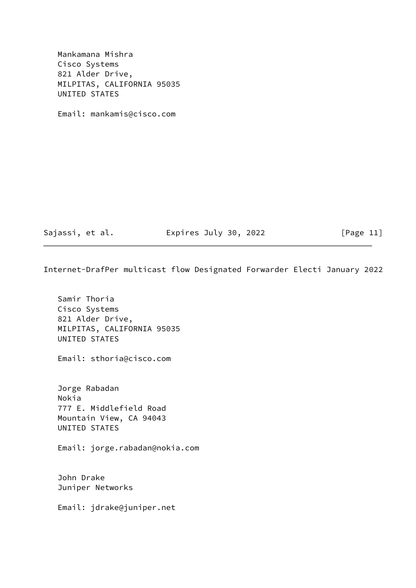Mankamana Mishra Cisco Systems 821 Alder Drive, MILPITAS, CALIFORNIA 95035 UNITED STATES

Email: mankamis@cisco.com

Sajassi, et al. Expires July 30, 2022 [Page 11]

Internet-DrafPer multicast flow Designated Forwarder Electi January 2022

 Samir Thoria Cisco Systems 821 Alder Drive, MILPITAS, CALIFORNIA 95035 UNITED STATES

Email: sthoria@cisco.com

 Jorge Rabadan Nokia 777 E. Middlefield Road Mountain View, CA 94043 UNITED STATES

Email: jorge.rabadan@nokia.com

 John Drake Juniper Networks

Email: jdrake@juniper.net